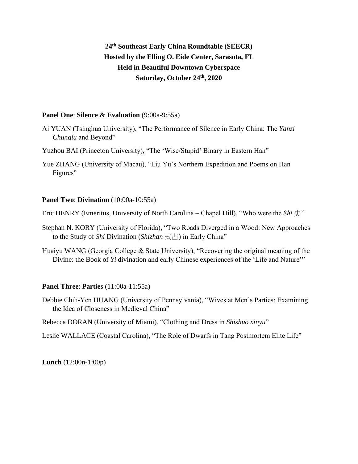# **24th Southeast Early China Roundtable (SEECR) Hosted by the Elling O. Eide Center, Sarasota, FL Held in Beautiful Downtown Cyberspace Saturday, October 24th, 2020**

# **Panel One**: **Silence & Evaluation** (9:00a-9:55a)

- Ai YUAN (Tsinghua University), "The Performance of Silence in Early China: The *Yanzi Chunqiu* and Beyond"
- Yuzhou BAI (Princeton University), "The 'Wise/Stupid' Binary in Eastern Han"
- Yue ZHANG (University of Macau), "Liu Yu's Northern Expedition and Poems on Han Figures"

#### **Panel Two**: **Divination** (10:00a-10:55a)

Eric HENRY (Emeritus, University of North Carolina – Chapel Hill), "Who were the *Shǐ* 史"

- Stephan N. KORY (University of Florida), "Two Roads Diverged in a Wood: New Approaches to the Study of *Shi* Divination (*Shizhan* 式占) in Early China"
- Huaiyu WANG (Georgia College & State University), "Recovering the original meaning of the Divine: the Book of *Yi* divination and early Chinese experiences of the 'Life and Nature'"

# **Panel Three**: **Parties** (11:00a-11:55a)

Debbie Chih-Yen HUANG (University of Pennsylvania), "Wives at Men's Parties: Examining the Idea of Closeness in Medieval China"

Rebecca DORAN (University of Miami), "Clothing and Dress in *Shishuo xinyu*"

Leslie WALLACE (Coastal Carolina), "The Role of Dwarfs in Tang Postmortem Elite Life"

**Lunch** (12:00n-1:00p)